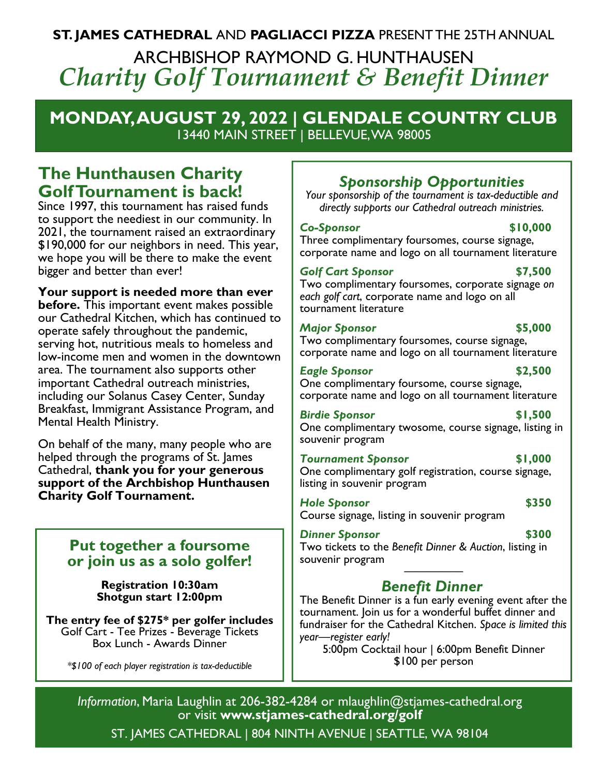# **ST. JAMES CATHEDRAL** AND **PAGLIACCI PIZZA** PRESENT THE 25TH ANNUAL ARCHBISHOP RAYMOND G. HUNTHAUSEN *Charity Golf Tournament & Benefit Dinner*

# **MONDAY, AUGUST 29, 2022 | GLENDALE COUNTRY CLUB**  13440 MAIN STREET | BELLEVUE, WA 98005

# **The Hunthausen Charity Golf Tournament is back!**

Since 1997, this tournament has raised funds to support the neediest in our community. In 2021, the tournament raised an extraordinary \$190,000 for our neighbors in need. This year, we hope you will be there to make the event bigger and better than ever!

## **Your support is needed more than ever**

**before.** This important event makes possible our Cathedral Kitchen, which has continued to operate safely throughout the pandemic, serving hot, nutritious meals to homeless and low-income men and women in the downtown area. The tournament also supports other important Cathedral outreach ministries, including our Solanus Casey Center, Sunday Breakfast, Immigrant Assistance Program, and Mental Health Ministry.

On behalf of the many, many people who are helped through the programs of St. James Cathedral, **thank you for your generous support of the Archbishop Hunthausen Charity Golf Tournament.**

# **Put together a foursome or join us as a solo golfer!**

**Registration 10:30am Shotgun start 12:00pm** 

### **The entry fee of \$275\* per golfer includes**  Golf Cart - Tee Prizes - Beverage Tickets Box Lunch - Awards Dinner

*\*\$100 of each player registration is tax-deductible* 

# *Sponsorship Opportunities*

*Your sponsorship of the tournament is tax-deductible and directly supports our Cathedral outreach ministries.* 

### *Co-Sponsor* **\$10,000**

Three complimentary foursomes, course signage, corporate name and logo on all tournament literature

## *Golf Cart Sponsor* **\$7,500**

Two complimentary foursomes, corporate signage *on each golf cart*, corporate name and logo on all tournament literature

## *Major Sponsor* **\$5,000**

Two complimentary foursomes, course signage, corporate name and logo on all tournament literature

### **Eagle Sponsor** \$2,500

One complimentary foursome, course signage, corporate name and logo on all tournament literature

*Birdie Sponsor* \$1,500 One complimentary twosome, course signage, listing in souvenir program

# *Tournament Sponsor* **\$1,000**

One complimentary golf registration, course signage, listing in souvenir program

## **Hole Sponsor** \$350

Course signage, listing in souvenir program

**Dinner Sponsor** \$300

Two tickets to the *Benefit Dinner & Auction*, listing in souvenir program

# ————— *Benefit Dinner*

The Benefit Dinner is a fun early evening event after the tournament. Join us for a wonderful buffet dinner and fundraiser for the Cathedral Kitchen. *Space is limited this year—register early!* 

5:00pm Cocktail hour | 6:00pm Benefit Dinner \$100 per person

*Information*, Maria Laughlin at 206-382-4284 or mlaughlin@stjames-cathedral.org or visit **www.stjames-cathedral.org/golf** 

ST. JAMES CATHEDRAL | 804 NINTH AVENUE | SEATTLE, WA 98104